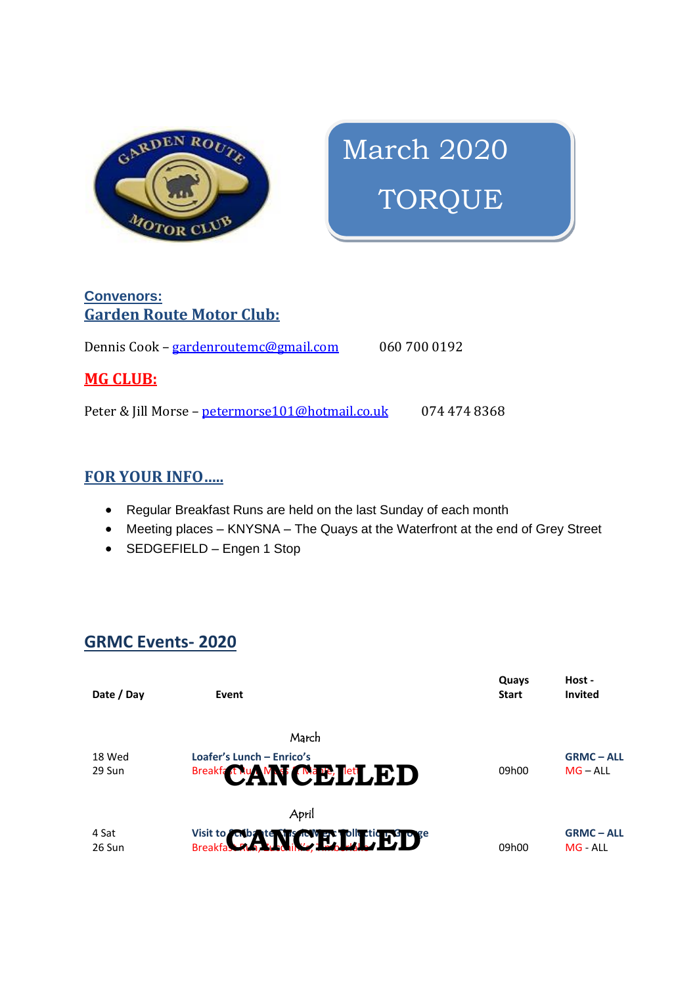

# March 2020 TORQUE

### **Convenors: Garden Route Motor Club:**

Dennis Cook – [gardenroutemc@gmail.com](mailto:gardenroutemc@gmail.com) 060 700 0192

### **MG CLUB:**

Peter & Jill Morse - [petermorse101@hotmail.co.uk](mailto:petermorse101@hotmail.co.uk) 074 474 8368

### **FOR YOUR INFO…..**

- Regular Breakfast Runs are held on the last Sunday of each month
- Meeting places KNYSNA The Quays at the Waterfront at the end of Grey Street
- SEDGEFIELD Engen 1 Stop

### **GRMC Events- 2020**

| Date / Day | Event                                    | Quays<br><b>Start</b> | Host -<br><b>Invited</b> |
|------------|------------------------------------------|-----------------------|--------------------------|
|            | March                                    |                       |                          |
| 18 Wed     | Loafer's Lunch - Enrico's                |                       | <b>GRMC-ALL</b>          |
| 29 Sun     | Breakfa FAu AM CAP Let ED                | 09h00                 | $MG - ALL$               |
|            | April                                    |                       |                          |
| 4 Sat      |                                          |                       | <b>GRMC-ALL</b>          |
| 26 Sun     | Visit to Cobate Miss Cover District Dave | 09h00                 | MG - ALL                 |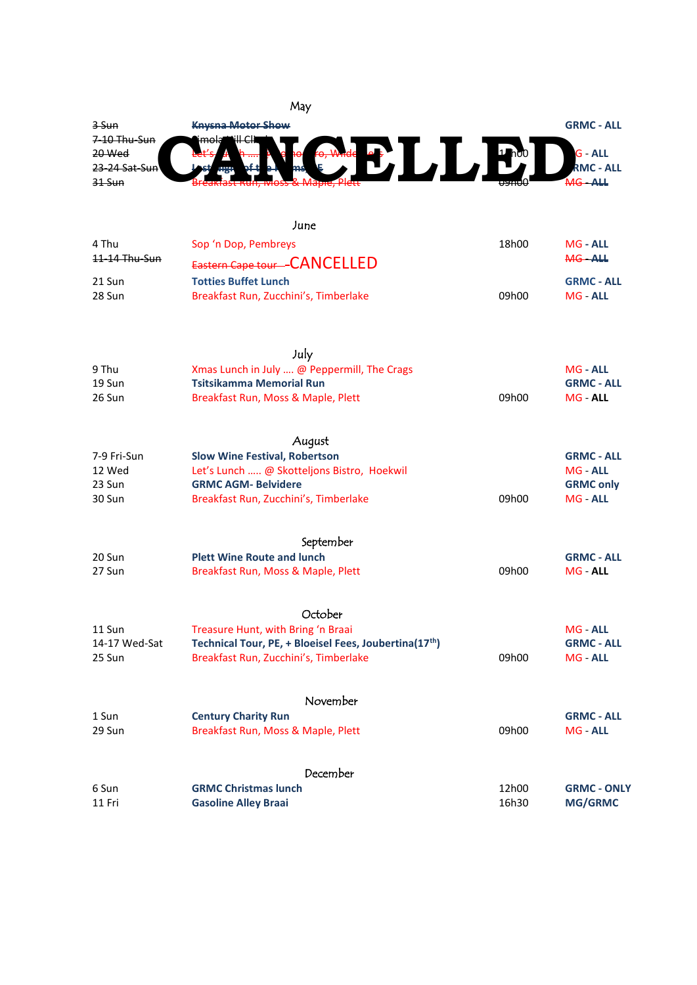

|                        | June                                                  |       |                              |
|------------------------|-------------------------------------------------------|-------|------------------------------|
| 4 Thu<br>11-14 Thu-Sun | Sop 'n Dop, Pembreys<br>Eastern Cape tour-CANCELLED   | 18h00 | <b>MG - ALL</b><br>MG-ALL    |
| 21 Sun                 | <b>Totties Buffet Lunch</b>                           |       | <b>GRMC - ALL</b>            |
| 28 Sun                 | Breakfast Run, Zucchini's, Timberlake                 | 09h00 | MG ALL                       |
|                        | July                                                  |       |                              |
| 9 Thu                  | Xmas Lunch in July  @ Peppermill, The Crags           |       | <b>MG - ALL</b>              |
| 19 Sun                 | <b>Tsitsikamma Memorial Run</b>                       |       | <b>GRMC - ALL</b>            |
| 26 Sun                 | Breakfast Run, Moss & Maple, Plett                    | 09h00 | MG - ALL                     |
|                        | August                                                |       |                              |
| 7-9 Fri-Sun            | <b>Slow Wine Festival, Robertson</b>                  |       | <b>GRMC - ALL</b>            |
| 12 Wed                 | Let's Lunch  @ Skotteljons Bistro, Hoekwil            |       | MG - ALL                     |
| 23 Sun<br>30 Sun       | <b>GRMC AGM- Belvidere</b>                            | 09h00 | <b>GRMC only</b><br>MG - ALL |
|                        | Breakfast Run, Zucchini's, Timberlake                 |       |                              |
|                        | September                                             |       |                              |
| 20 Sun                 | <b>Plett Wine Route and lunch</b>                     |       | <b>GRMC - ALL</b>            |
| 27 Sun                 | Breakfast Run, Moss & Maple, Plett                    | 09h00 | MG - ALL                     |
|                        | October                                               |       |                              |
| 11 Sun                 | Treasure Hunt, with Bring 'n Braai                    |       | MG - ALL                     |
| 14-17 Wed-Sat          | Technical Tour, PE, + Bloeisel Fees, Joubertina(17th) |       | <b>GRMC - ALL</b>            |
| 25 Sun                 | Breakfast Run, Zucchini's, Timberlake                 | 09h00 | MG ALL                       |
|                        | November                                              |       |                              |
| 1 Sun                  | <b>Century Charity Run</b>                            |       | <b>GRMC - ALL</b>            |
| 29 Sun                 | Breakfast Run, Moss & Maple, Plett                    | 09h00 | MG ALL                       |
|                        | December                                              |       |                              |
| 6 Sun                  | <b>GRMC Christmas lunch</b>                           | 12h00 | <b>GRMC - ONLY</b>           |
| 11 Fri                 | <b>Gasoline Alley Braai</b>                           | 16h30 | <b>MG/GRMC</b>               |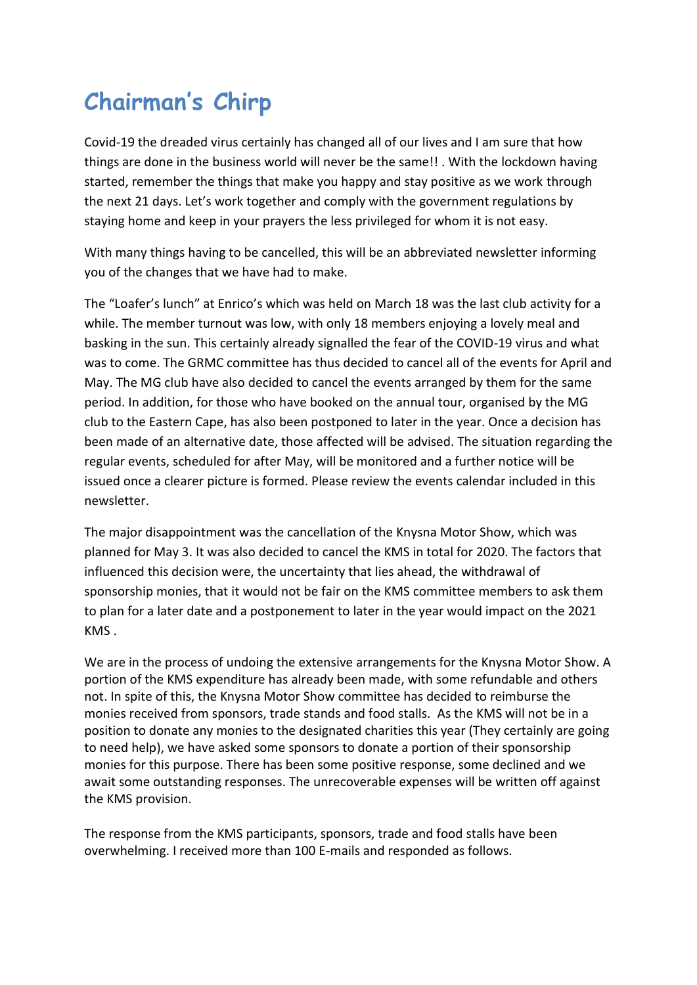## **Chairman's Chirp**

Covid-19 the dreaded virus certainly has changed all of our lives and I am sure that how things are done in the business world will never be the same!! . With the lockdown having started, remember the things that make you happy and stay positive as we work through the next 21 days. Let's work together and comply with the government regulations by staying home and keep in your prayers the less privileged for whom it is not easy.

With many things having to be cancelled, this will be an abbreviated newsletter informing you of the changes that we have had to make.

The "Loafer's lunch" at Enrico's which was held on March 18 was the last club activity for a while. The member turnout was low, with only 18 members enjoying a lovely meal and basking in the sun. This certainly already signalled the fear of the COVID-19 virus and what was to come. The GRMC committee has thus decided to cancel all of the events for April and May. The MG club have also decided to cancel the events arranged by them for the same period. In addition, for those who have booked on the annual tour, organised by the MG club to the Eastern Cape, has also been postponed to later in the year. Once a decision has been made of an alternative date, those affected will be advised. The situation regarding the regular events, scheduled for after May, will be monitored and a further notice will be issued once a clearer picture is formed. Please review the events calendar included in this newsletter.

The major disappointment was the cancellation of the Knysna Motor Show, which was planned for May 3. It was also decided to cancel the KMS in total for 2020. The factors that influenced this decision were, the uncertainty that lies ahead, the withdrawal of sponsorship monies, that it would not be fair on the KMS committee members to ask them to plan for a later date and a postponement to later in the year would impact on the 2021 KMS .

We are in the process of undoing the extensive arrangements for the Knysna Motor Show. A portion of the KMS expenditure has already been made, with some refundable and others not. In spite of this, the Knysna Motor Show committee has decided to reimburse the monies received from sponsors, trade stands and food stalls. As the KMS will not be in a position to donate any monies to the designated charities this year (They certainly are going to need help), we have asked some sponsors to donate a portion of their sponsorship monies for this purpose. There has been some positive response, some declined and we await some outstanding responses. The unrecoverable expenses will be written off against the KMS provision.

The response from the KMS participants, sponsors, trade and food stalls have been overwhelming. I received more than 100 E-mails and responded as follows.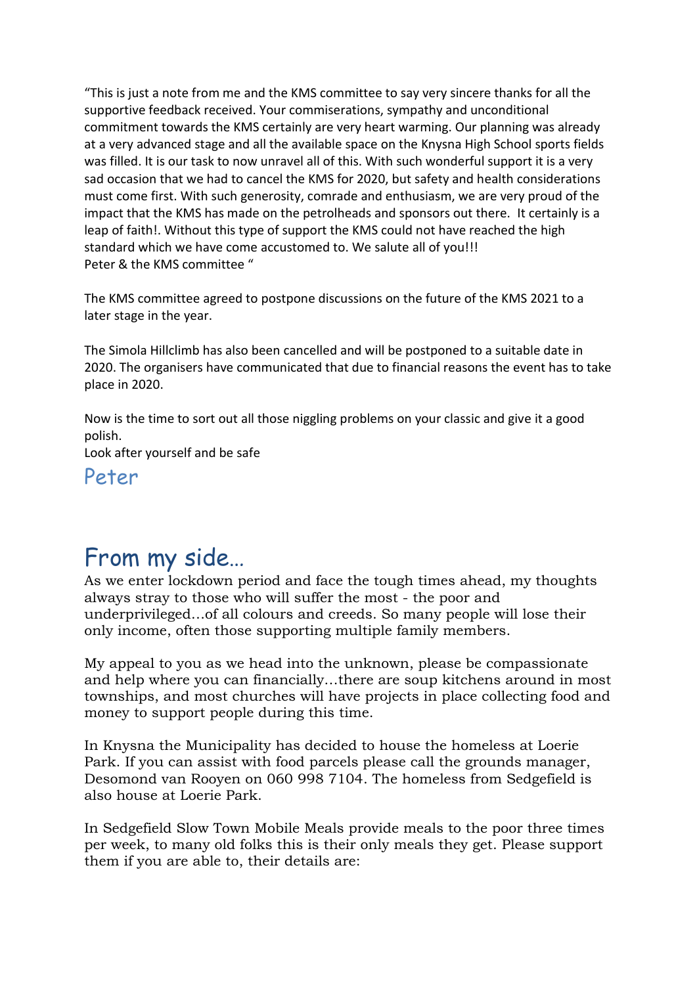"This is just a note from me and the KMS committee to say very sincere thanks for all the supportive feedback received. Your commiserations, sympathy and unconditional commitment towards the KMS certainly are very heart warming. Our planning was already at a very advanced stage and all the available space on the Knysna High School sports fields was filled. It is our task to now unravel all of this. With such wonderful support it is a very sad occasion that we had to cancel the KMS for 2020, but safety and health considerations must come first. With such generosity, comrade and enthusiasm, we are very proud of the impact that the KMS has made on the petrolheads and sponsors out there. It certainly is a leap of faith!. Without this type of support the KMS could not have reached the high standard which we have come accustomed to. We salute all of you!!! Peter & the KMS committee "

The KMS committee agreed to postpone discussions on the future of the KMS 2021 to a later stage in the year.

The Simola Hillclimb has also been cancelled and will be postponed to a suitable date in 2020. The organisers have communicated that due to financial reasons the event has to take place in 2020.

Now is the time to sort out all those niggling problems on your classic and give it a good polish.

Look after yourself and be safe

Peter

### From my side…

As we enter lockdown period and face the tough times ahead, my thoughts always stray to those who will suffer the most - the poor and underprivileged…of all colours and creeds. So many people will lose their only income, often those supporting multiple family members.

My appeal to you as we head into the unknown, please be compassionate and help where you can financially…there are soup kitchens around in most townships, and most churches will have projects in place collecting food and money to support people during this time.

In Knysna the Municipality has decided to house the homeless at Loerie Park. If you can assist with food parcels please call the grounds manager, Desomond van Rooyen on 060 998 7104. The homeless from Sedgefield is also house at Loerie Park.

In Sedgefield Slow Town Mobile Meals provide meals to the poor three times per week, to many old folks this is their only meals they get. Please support them if you are able to, their details are: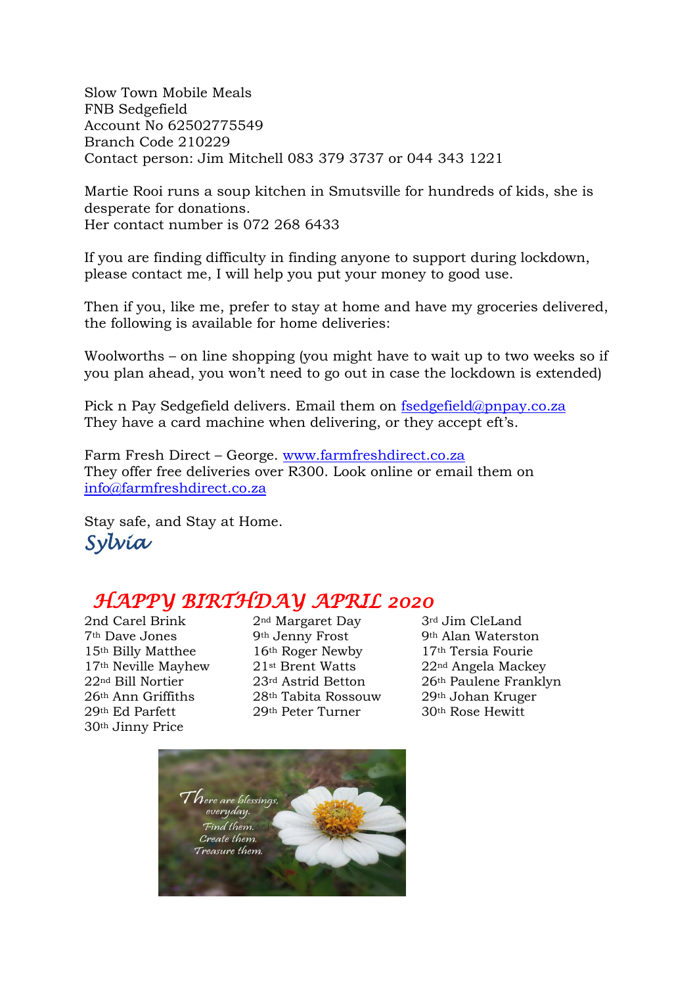Slow Town Mobile Meals FNB Sedgefield Account No 62502775549 Branch Code 210229 Contact person: Jim Mitchell 083 379 3737 or 044 343 1221

Martie Rooi runs a soup kitchen in Smutsville for hundreds of kids, she is desperate for donations. Her contact number is 072 268 6433

If you are finding difficulty in finding anyone to support during lockdown, please contact me, I will help you put your money to good use.

Then if you, like me, prefer to stay at home and have my groceries delivered, the following is available for home deliveries:

Woolworths – on line shopping (you might have to wait up to two weeks so if you plan ahead, you won't need to go out in case the lockdown is extended)

Pick n Pay Sedgefield delivers. Email them on [fsedgefield@pnpay.co.za](mailto:fsedgefield@pnpay.co.za) They have a card machine when delivering, or they accept eft's.

Farm Fresh Direct – George. [www.farmfreshdirect.co.za](http://www.farmfreshdirect.co.za/) They offer free deliveries over R300. Look online or email them on [info@farmfreshdirect.co.za](mailto:info@farmfreshdirect.co.za)

Stay safe, and Stay at Home. *Sylvia* 

### *HAPPY BIRTHDAY APRIL 2020*

30th Jinny Price

2nd Carel Brink 2<sup>nd</sup> Margaret Day 3<sup>rd</sup> Jim CleLand 7th Dave Jones 9th Jenny Frost 9th Alan Waterston 15<sup>th</sup> Billy Matthee 16<sup>th</sup> Roger Newby 17<sup>th</sup> Tersia Fourie 17<sup>th</sup> Neville Mayhew 21<sup>st</sup> Brent Watts 22<sup>nd</sup> Angela Mackey 26th Ann Griffiths 28th Tabita Rossouw 29th Johan Kruger 29th Ed Parfett 29th Peter Turner 30th Rose Hewitt

22nd Bill Nortier 23rd Astrid Betton 26th Paulene Franklyn

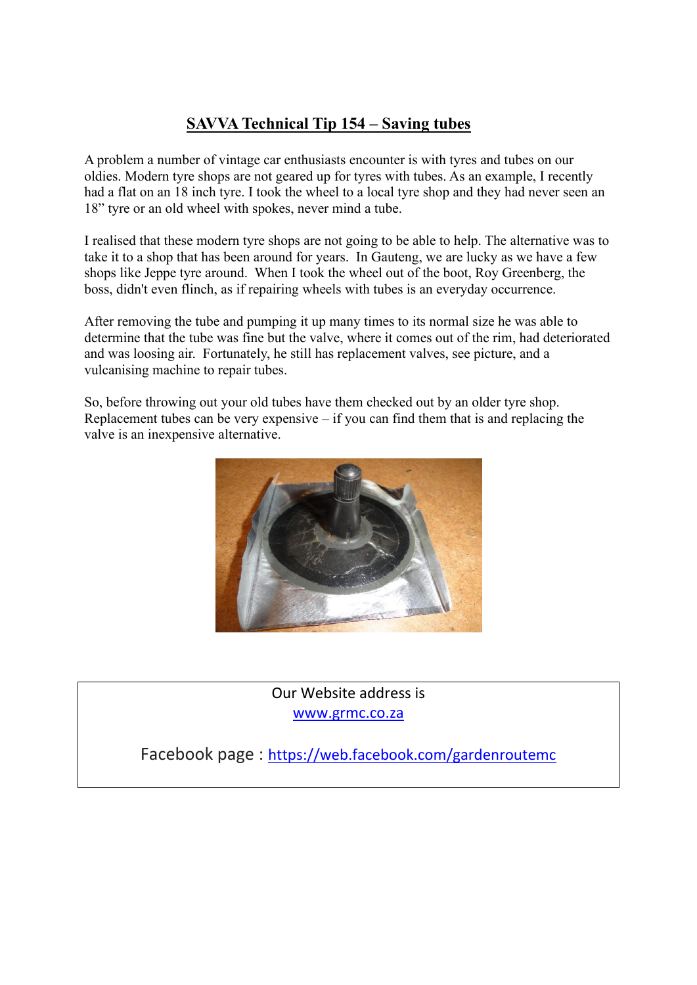### **SAVVA Technical Tip 154 – Saving tubes**

A problem a number of vintage car enthusiasts encounter is with tyres and tubes on our oldies. Modern tyre shops are not geared up for tyres with tubes. As an example, I recently had a flat on an 18 inch tyre. I took the wheel to a local tyre shop and they had never seen an 18" tyre or an old wheel with spokes, never mind a tube.

I realised that these modern tyre shops are not going to be able to help. The alternative was to take it to a shop that has been around for years. In Gauteng, we are lucky as we have a few shops like Jeppe tyre around. When I took the wheel out of the boot, Roy Greenberg, the boss, didn't even flinch, as if repairing wheels with tubes is an everyday occurrence.

After removing the tube and pumping it up many times to its normal size he was able to determine that the tube was fine but the valve, where it comes out of the rim, had deteriorated and was loosing air. Fortunately, he still has replacement valves, see picture, and a vulcanising machine to repair tubes.

So, before throwing out your old tubes have them checked out by an older tyre shop. Replacement tubes can be very expensive  $-$  if you can find them that is and replacing the valve is an inexpensive alternative.



Our Website address is [www.grmc.co.za](http://www.grmc.co.za/)

Facebook page : <https://web.facebook.com/gardenroutemc>